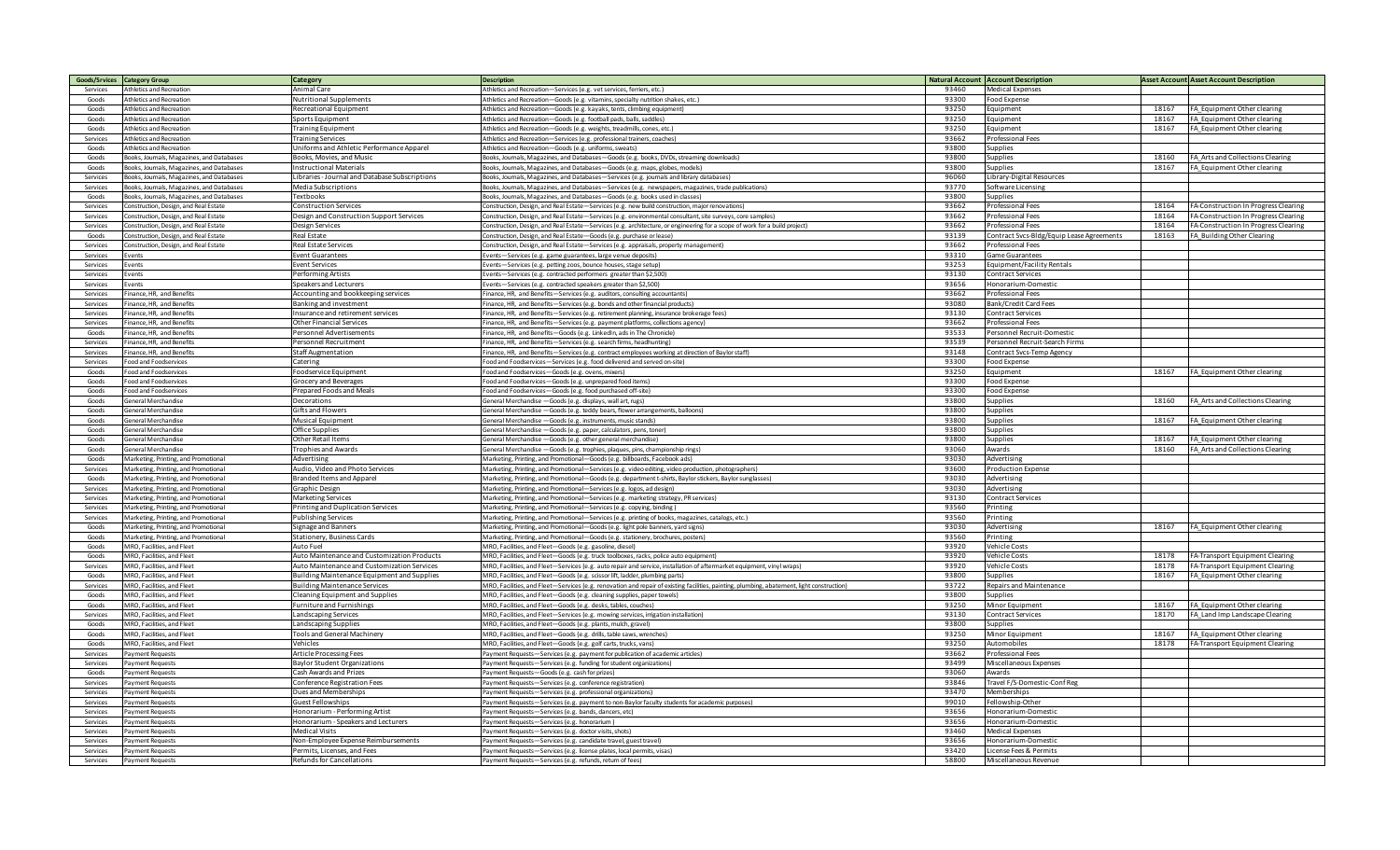| Goods/Srvices Category Group |                                             | Category                                          | <b>Description</b>                                                                                                                                    |                | <b>Natural Account   Account Description</b> |       | <b>Asset Account Asset Account Description</b>                |
|------------------------------|---------------------------------------------|---------------------------------------------------|-------------------------------------------------------------------------------------------------------------------------------------------------------|----------------|----------------------------------------------|-------|---------------------------------------------------------------|
| Services                     | <b>Athletics and Recreation</b>             | Animal Care                                       | Athletics and Recreation-Services (e.g. vet services, ferriers, etc.)                                                                                 | 93460          | <b>Medical Expenses</b>                      |       |                                                               |
| Goods                        | Athletics and Recreation                    | <b>Nutritional Supplements</b>                    | Athletics and Recreation-Goods (e.g. vitamins, specialty nutrition shakes, etc.)                                                                      | 93300          | Food Expense                                 |       |                                                               |
| Goods                        | Athletics and Recreation                    | Recreational Equipment                            | Athletics and Recreation-Goods (e.g. kayaks, tents, climbing equipment)                                                                               | 93250          | Equipment                                    | 18167 | FA Equipment Other clearing                                   |
| Goods                        | Athletics and Recreation                    | Sports Equipment                                  | Athletics and Recreation-Goods (e.g. football pads, balls, saddles)                                                                                   | 93250          | Equipment                                    | 18167 | FA Equipment Other clearing                                   |
| Goods                        | Athletics and Recreation                    | <b>Training Equipment</b>                         | Athletics and Recreation-Goods (e.g. weights, treadmills, cones, etc.)                                                                                | 93250          | Eauipment                                    | 18167 | FA_Equipment Other clearing                                   |
| Services                     | thletics and Recreation                     | <b>Training Services</b>                          | Athletics and Recreation-Services (e.g. professional trainers, coaches)                                                                               | 93662          | Professional Fees                            |       |                                                               |
| Goods                        | thletics and Recreation                     | Iniforms and Athletic Performance Apparel         | Athletics and Recreation-Goods (e.g. uniforms, sweats)                                                                                                | 93800          | Supplies                                     |       |                                                               |
|                              |                                             |                                                   |                                                                                                                                                       |                |                                              |       |                                                               |
| Goods                        | Books, Journals, Magazines, and Databases   | Books, Movies, and Music                          | Books, Journals, Magazines, and Databases-Goods (e.g. books, DVDs, streaming downloads)                                                               | 93800          | Supplies                                     | 18160 | FA Arts and Collections Clearing                              |
| Goods                        | Books, Journals, Magazines, and Databases   | <b>Instructional Materials</b>                    | Books, Journals, Magazines, and Databases-Goods (e.g. maps, globes, models)                                                                           | 93800          | Supplies                                     | 18167 | FA_Equipment Other clearing                                   |
| Services                     | Books, Journals, Magazines, and Databases   | Libraries - Journal and Database Subscriptions    | Books, Journals, Magazines, and Databases-Services (e.g. journals and library databases)                                                              | 96060          | Library-Digital Resources                    |       |                                                               |
| Services                     | looks, Journals, Magazines, and Databases   | Media Subscriptions                               | Books, Journals, Magazines, and Databases-Services (e.g. newspapers, magazines, trade publications)                                                   | 93770          | Software Licensing                           |       |                                                               |
| Goods                        | ooks, Journals, Magazines, and Databases    | Textbooks                                         | Books, Journals, Magazines, and Databases-Goods (e.g. books used in classes)                                                                          | 93800          | unnlies                                      |       |                                                               |
| Services                     | onstruction, Design, and Real Estate        | <b>Construction Services</b>                      | Construction, Design, and Real Estate-Services (e.g. new build construction, major renovations)                                                       | 93662          | Professional Fees                            | 18164 | FA-Construction In Progress Clearing                          |
| Services                     | Construction, Design, and Real Estate       | Design and Construction Support Services          | Construction, Design, and Real Estate-Services (e.g. environmental consultant, site surveys, core samples)                                            | 93662          | Professional Fees                            | 18164 | FA-Construction In Progress Clearing                          |
| Services                     | onstruction, Design, and Real Estate        | Design Services                                   | Construction, Design, and Real Estate-Services (e.g. architecture, or engineering for a scope of work for a build project)                            | 93662          | Professional Fees                            | 18164 | FA-Construction In Progress Clearing                          |
| Goods                        | onstruction, Design, and Real Estate        | <b>Real Estate</b>                                | Construction, Design, and Real Estate-Goods (e.g. purchase or lease)                                                                                  | 93139          | ontract Svcs-Bldg/Equip Lease Agreements     | 18163 | FA_Building Other Clearing                                    |
| Services                     | onstruction, Design, and Real Estate        | Real Estate Services                              | Construction, Design, and Real Estate-Services (e.g. appraisals, property management)                                                                 | 93662          | rofessional Fees                             |       |                                                               |
| Services                     | vents                                       | <b>Event Guarantees</b>                           | Events-Services (e.g. game guarantees, large venue deposits)                                                                                          | 93310          | Game Guarantees                              |       |                                                               |
| Services                     | vents                                       | <b>Event Services</b>                             | Events-Services (e.g. petting zoos, bounce houses, stage setup)                                                                                       | 93253          | Equipment/Facility Rentals                   |       |                                                               |
| Services                     | vents                                       | Performing Artists                                | Events-Services (e.g. contracted performers greater than \$2,500)                                                                                     | 93130          | Contract Services                            |       |                                                               |
| Services                     | vents                                       | Speakers and Lecturers                            | Events-Services (e.g. contracted speakers greater than \$2,500)                                                                                       | 93656          | Ionorarium-Domestic                          |       |                                                               |
| Services                     | inance. HR. and Benefits                    | Accounting and bookkeeping services               | Finance, HR, and Benefits-Services (e.g. auditors, consulting accountants)                                                                            | 93662          | rofessional Fees                             |       |                                                               |
|                              |                                             |                                                   |                                                                                                                                                       | 93080          |                                              |       |                                                               |
| Services                     | inance. HR. and Benefits                    | Banking and investment                            | Finance, HR, and Benefits-Services (e.g. bonds and other financial products)                                                                          |                | Bank/Credit Card Fees                        |       |                                                               |
| Services                     | inance, HR, and Benefits                    | Insurance and retirement services                 | Finance, HR, and Benefits-Services (e.g. retirement planning, insurance brokerage fees)                                                               | 93130          | <b>Contract Services</b>                     |       |                                                               |
| Services                     | inance. HR. and Benefits                    | Other Financial Services                          | inance, HR, and Benefits-Services (e.g. payment platforms, collections agency)                                                                        | 93662          | Professional Fees                            |       |                                                               |
| Goods                        | inance, HR, and Benefits                    | ersonnel Advertisements                           | inance, HR, and Benefits-Goods (e.g. LinkedIn, ads in The Chronicle)                                                                                  | 93533          | Personnel Recruit-Domestic                   |       |                                                               |
| Services                     | inance, HR, and Benefits                    | Personnel Recruitment                             | Finance, HR, and Benefits-Services (e.g. search firms, headhunting)                                                                                   | 93539          | Personnel Recruit-Search Firms               |       |                                                               |
| Services                     | inance, HR, and Benefits                    | Staff Augmentation                                | Finance, HR, and Benefits-Services (e.g. contract employees working at direction of Baylor staff)                                                     | 93148          | Contract Svcs-Temp Agency                    |       |                                                               |
| Services                     | ood and Foodservices                        | Catering                                          | Food and Foodservices-Services (e.g. food delivered and served on-site)                                                                               | 93300          | Food Expense                                 |       |                                                               |
| Goods                        | ood and Foodservices                        | Foodservice Equipment                             | Food and Foodservices-Goods (e.g. ovens, mixers)                                                                                                      | 93250          | Equipment                                    | 18167 | FA Equipment Other clearing                                   |
| Goods                        | ood and Foodservices                        | <b>Grocery and Beverages</b>                      | Food and Foodservices-Goods (e.g. unprepared food items)                                                                                              | 93300          | ood Expense                                  |       |                                                               |
| Goods                        | ood and Foodservices                        | Prepared Foods and Meals                          | Food and Foodservices-Goods (e.g. food purchased off-site)                                                                                            | 93300          | ood Expense                                  |       |                                                               |
| Goods                        | ieneral Merchandise                         | Decorations                                       | General Merchandise - Goods (e.g. displays, wall art, rugs)                                                                                           | 93800          | Supplies                                     | 18160 | FA_Arts and Collections Clearing                              |
| Goods                        | <b>General Merchandise</b>                  | Gifts and Flowers                                 | General Merchandise - Goods (e.g. teddy bears, flower arrangements, balloons)                                                                         | 93800          | Supplies                                     |       |                                                               |
| Goods                        | General Merchandise                         | Musical Equipment                                 | General Merchandise - Goods (e.g. instruments, music stands)                                                                                          | 93800          | Supplies                                     | 18167 | FA Equipment Other clearing                                   |
| Goods                        | ieneral Merchandise                         | Office Supplies                                   | General Merchandise - Goods (e.g. paper, calculators, pens, toner)                                                                                    | 93800          | supplies                                     |       |                                                               |
| Goods                        | ieneral Merchandise                         | Other Retail Items                                | General Merchandise - Goods (e.g. other general merchandise)                                                                                          | 93800          | Supplies                                     | 18167 | FA Equipment Other clearing                                   |
|                              |                                             |                                                   |                                                                                                                                                       |                |                                              |       |                                                               |
| Goods                        | General Merchandise                         | <b>Trophies and Awards</b>                        | General Merchandise - Goods (e.g. trophies, plaques, pins, championship rings)                                                                        | 93060          | Awards                                       | 18160 | FA_Arts and Collections Clearing                              |
| Goods                        | Marketing, Printing, and Promotional        | Advertising                                       | Marketing, Printing, and Promotional-Goods (e.g. billboards, Facebook ads)                                                                            | 93030          | Advertising                                  |       |                                                               |
| Services                     | Marketing, Printing, and Promotional        | Audio, Video and Photo Services                   | Marketing, Printing, and Promotional-Services (e.g. video editing, video production, photographers)                                                   | 93600          | <b>Production Expense</b>                    |       |                                                               |
| Goods                        | Marketing, Printing, and Promotional        | <b>Branded Items and Apparel</b>                  | Marketing, Printing, and Promotional-Goods (e.g. department t-shirts, Baylor stickers, Baylor sunglasses)                                             | 93030          | Advertising                                  |       |                                                               |
| Services                     | Marketing, Printing, and Promotional        | Graphic Design                                    | Marketing, Printing, and Promotional-Services (e.g. logos, ad design)                                                                                 | 93030          | Advertising                                  |       |                                                               |
| Services                     | Marketing, Printing, and Promotional        | Marketing Services                                | Marketing, Printing, and Promotional-Services (e.g. marketing strategy, PR services)                                                                  | 93130          | Contract Services                            |       |                                                               |
| Services                     | Marketing, Printing, and Promotional        | Printing and Duplication Services                 | Marketing, Printing, and Promotional-Services (e.g. copying, binding)                                                                                 | 93560          | Printine                                     |       |                                                               |
| Services                     | <b>Marketing, Printing, and Promotional</b> | ublishing Services                                | Marketing, Printing, and Promotional-Services (e.g. printing of books, magazines, catalogs, etc.)                                                     | 93560          | rinting                                      |       |                                                               |
| Goods                        | Marketing, Printing, and Promotional        | signage and Banners                               | Marketing, Printing, and Promotional-Goods (e.g. light pole banners, yard signs)                                                                      | 93030          | Advertising                                  | 18167 | FA Equipment Other clearing                                   |
| Goods                        | Marketing, Printing, and Promotional        | Stationery, Business Cards                        | Marketing, Printing, and Promotional-Goods (e.g. stationery, brochures, posters)                                                                      | 93560          | Printing                                     |       |                                                               |
| Goods                        | MRO, Facilities, and Fleet                  | Auto Fuel                                         | MRO, Facilities, and Fleet-Goods (e.g. gasoline, diesel)                                                                                              | 93920          | Vehicle Costs                                |       |                                                               |
| Goods                        | MRO, Facilities, and Fleet                  | Auto Maintenance and Customization Products       | MRO, Facilities, and Fleet-Goods (e.g. truck toolboxes, racks, police auto equipment)                                                                 | 93920          | Vehicle Costs                                | 18178 | FA-Transport Equipment Clearing                               |
| Services                     | MRO, Facilities, and Fleet                  | Auto Maintenance and Customization Services       | MRO, Facilities, and Fleet-Services (e.g. auto repair and service, installation of aftermarket equipment, vinyl wraps)                                | 93920          | /ehicle Costs                                | 18178 | FA-Transport Equipment Clearing                               |
| Goods                        | MRO, Facilities, and Fleet                  | Building Maintenance Equipment and Supplies       | MRO, Facilities, and Fleet-Goods (e.g. scissor lift, ladder, plumbing parts)                                                                          | 93800          | upplies                                      | 18167 | FA_Equipment Other clearing                                   |
| Services                     | MRO, Facilities, and Fleet                  | <b>Building Maintenance Services</b>              | MRO, Facilities, and Fleet-Services (e.g. renovation and repair of existing facilities, painting, plumbing, abatement, light construction)            | 93722          | Repairs and Maintenance                      |       |                                                               |
| Goods                        | MRO, Facilities, and Fleet                  | Cleaning Equipment and Supplies                   | MRO, Facilities, and Fleet-Goods (e.g. cleaning supplies, paper towels)                                                                               | 93800          | Supplies                                     |       |                                                               |
| Goods                        | MRO. Facilities, and Fleet                  |                                                   |                                                                                                                                                       |                |                                              | 18167 |                                                               |
| Services                     | <b>ARO.</b> Facilities, and Fleet           | Furniture and Furnishings<br>Landscaping Services | MRO, Facilities, and Fleet-Goods (e.g. desks, tables, couches)<br>MRO, Facilities, and Fleet-Services (e.g. mowing services, irrigation installation) | 93250<br>93130 | Minor Equipment<br>ontract Services          | 18170 | FA Equipment Other clearing<br>FA Land Imp Landscape Clearing |
|                              |                                             |                                                   |                                                                                                                                                       |                |                                              |       |                                                               |
| Goods                        | MRO. Facilities, and Fleet                  | Landscaping Supplies                              | MRO, Facilities, and Fleet-Goods (e.g. plants, mulch, gravel)                                                                                         | 93800          | <b>Supplies</b>                              |       |                                                               |
| Goods                        | MRO. Facilities, and Fleet                  | <b>Tools and General Machinery</b>                | MRO, Facilities, and Fleet-Goods (e.g. drills, table saws, wrenches)                                                                                  | 93250          | Minor Equipment                              | 18167 | FA Equipment Other clearing                                   |
| Goods                        | MRO, Facilities, and Fleet                  | Vehicles                                          | MRO, Facilities, and Fleet-Goods (e.g. golf carts, trucks, vans)                                                                                      | 93250          | Automobiles                                  | 18178 | FA-Transport Equipment Clearing                               |
| Services                     | Payment Requests                            | Article Processing Fees                           | Payment Requests-Services (e.g. payment for publication of academic articles)                                                                         | 93662          | Professional Fees                            |       |                                                               |
| Services                     | avment Requests                             | <b>Baylor Student Organizations</b>               | Payment Requests-Services (e.g. funding for student organizations)                                                                                    | 93499          | Miscellaneous Expenses                       |       |                                                               |
| Goods                        | Payment Requests                            | Cash Awards and Prizes                            | Payment Requests-Goods (e.g. cash for prizes)                                                                                                         | 93060          | Awards                                       |       |                                                               |
| Services                     | Payment Requests                            | Conference Registration Fees                      | Payment Requests-Services (e.g. conference registration)                                                                                              | 93846          | Travel F/S-Domestic-Conf Reg                 |       |                                                               |
| Services                     | avment Requests                             | Dues and Memberships                              | Payment Requests-Services (e.g. professional organizations)                                                                                           | 93470          | Memberships                                  |       |                                                               |
| Services                     | avment Requests                             | Guest Fellowships                                 | Payment Requests-Services (e.g. payment to non-Baylor faculty students for academic purposes)                                                         | 99010          | Fellowship-Other                             |       |                                                               |
| Services                     | Payment Requests                            | Honorarium - Performing Artist                    | Payment Requests-Services (e.g. bands, dancers, etc)                                                                                                  | 93656          | Honorarium-Domestic                          |       |                                                               |
| Services                     | Payment Requests                            | Honorarium - Speakers and Lecturers               | Payment Requests-Services (e.g. honorarium)                                                                                                           | 93656          | Honorarium-Domestic                          |       |                                                               |
| Services                     | Payment Requests                            | Medical Visits                                    | Payment Requests-Services (e.g. doctor visits, shots)                                                                                                 | 93460          | Medical Expenses                             |       |                                                               |
| Services                     | <b>Payment Requests</b>                     | Non-Employee Expense Reimbursements               | Payment Requests-Services (e.g. candidate travel, guest travel)                                                                                       | 93656          | Ionorarium-Domestic                          |       |                                                               |
| Services                     | Payment Requests                            | Permits, Licenses, and Fees                       | Payment Requests-Services (e.g. license plates, local permits, visas)                                                                                 | 93420          | icense Fees & Permits                        |       |                                                               |
| Services                     | <b>Payment Requests</b>                     | Refunds for Cancellations                         | Payment Requests-Services (e.g. refunds, return of fees)                                                                                              | 58800          | Miscellaneous Revenue                        |       |                                                               |
|                              |                                             |                                                   |                                                                                                                                                       |                |                                              |       |                                                               |